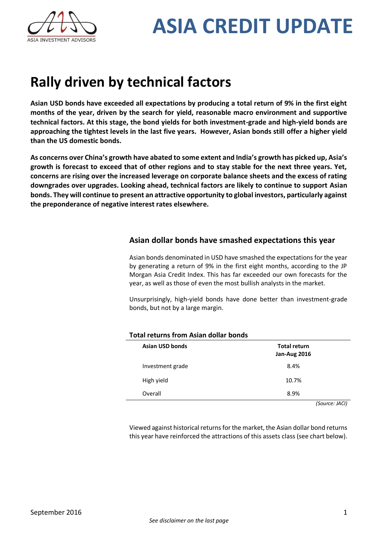

## **Rally driven by technical factors**

**Asian USD bonds have exceeded all expectations by producing a total return of 9% in the first eight months of the year, driven by the search for yield, reasonable macro environment and supportive technical factors. At this stage, the bond yields for both investment-grade and high-yield bonds are approaching the tightest levels in the last five years. However, Asian bonds still offer a higher yield than the US domestic bonds.**

**As concerns over China's growth have abated to some extent and India's growth has picked up, Asia's growth is forecast to exceed that of other regions and to stay stable for the next three years. Yet, concerns are rising over the increased leverage on corporate balance sheets and the excess of rating downgrades over upgrades. Looking ahead, technical factors are likely to continue to support Asian bonds. They will continue to present an attractive opportunity to global investors, particularly against the preponderance of negative interest rates elsewhere.**

### **Asian dollar bonds have smashed expectations this year**

Asian bonds denominated in USD have smashed the expectations for the year by generating a return of 9% in the first eight months, according to the JP Morgan Asia Credit Index. This has far exceeded our own forecasts for the year, as well as those of even the most bullish analysts in the market.

Unsurprisingly, high-yield bonds have done better than investment-grade bonds, but not by a large margin.

| <b>Total returns from Asian dollar bonds</b> |                                            |
|----------------------------------------------|--------------------------------------------|
| <b>Asian USD bonds</b>                       | <b>Total return</b><br><b>Jan-Aug 2016</b> |
| Investment grade                             | 8.4%                                       |
| High yield                                   | 10.7%                                      |
| Overall                                      | 8.9%                                       |

*(Source: JACI)*

Viewed against historical returns for the market, the Asian dollar bond returns this year have reinforced the attractions of this assets class (see chart below).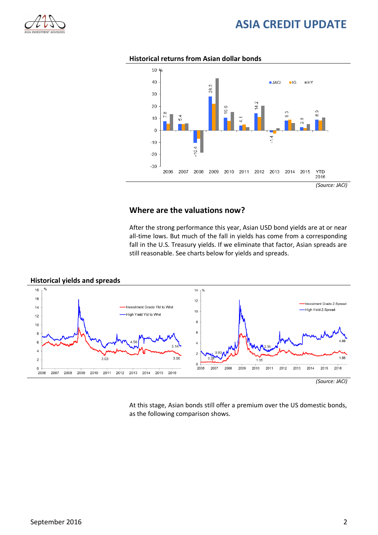



#### **Historical returns from Asian dollar bonds**

#### **Where are the valuations now?**

After the strong performance this year, Asian USD bond yields are at or near all-time lows. But much of the fall in yields has come from a corresponding fall in the U.S. Treasury yields. If we eliminate that factor, Asian spreads are still reasonable. See charts below for yields and spreads.



At this stage, Asian bonds still offer a premium over the US domestic bonds, as the following comparison shows.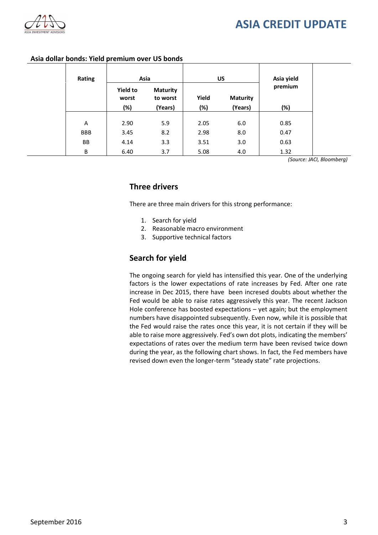

| Rating     | Asia                     |                             | US    |                 | Asia yield |
|------------|--------------------------|-----------------------------|-------|-----------------|------------|
|            | <b>Yield to</b><br>worst | <b>Maturity</b><br>to worst | Yield | <b>Maturity</b> | premium    |
|            | (%)                      | (Years)                     | (%)   | (Years)         | (%)        |
| Α          | 2.90                     | 5.9                         | 2.05  | 6.0             | 0.85       |
| <b>BBB</b> | 3.45                     | 8.2                         | 2.98  | 8.0             | 0.47       |
| BB         | 4.14                     | 3.3                         | 3.51  | 3.0             | 0.63       |
| B          | 6.40                     | 3.7                         | 5.08  | 4.0             | 1.32       |

#### **Asia dollar bonds: Yield premium over US bonds**

*(Source: JACI, Bloomberg)*

#### **Three drivers**

There are three main drivers for this strong performance:

- 1. Search for yield
- 2. Reasonable macro environment
- 3. Supportive technical factors

#### **Search for yield**

The ongoing search for yield has intensified this year. One of the underlying factors is the lower expectations of rate increases by Fed. After one rate increase in Dec 2015, there have been incresed doubts about whether the Fed would be able to raise rates aggressively this year. The recent Jackson Hole conference has boosted expectations – yet again; but the employment numbers have disappointed subsequently. Even now, while it is possible that the Fed would raise the rates once this year, it is not certain if they will be able to raise more aggressively. Fed's own dot plots, indicating the members' expectations of rates over the medium term have been revised twice down during the year, as the following chart shows. In fact, the Fed members have revised down even the longer-term "steady state" rate projections.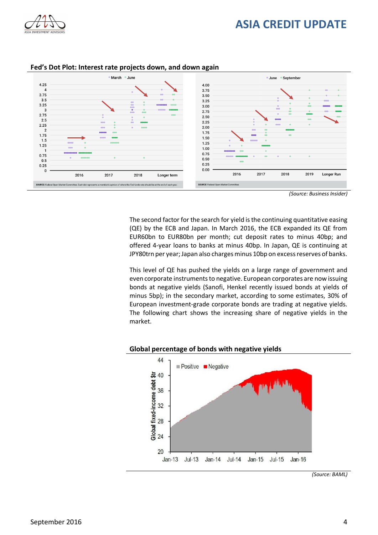



#### **Fed's Dot Plot: Interest rate projects down, and down again**

*(Source: Business Insider)*

The second factor for the search for yield is the continuing quantitative easing (QE) by the ECB and Japan. In March 2016, the ECB expanded its QE from EUR60bn to EUR80bn per month; cut deposit rates to minus 40bp; and offered 4-year loans to banks at minus 40bp. In Japan, QE is continuing at JPY80trn per year; Japan also charges minus 10bp on excess reserves of banks.

This level of QE has pushed the yields on a large range of government and even corporate instruments to negative. European corporates are now issuing bonds at negative yields (Sanofi, Henkel recently issued bonds at yields of minus 5bp); in the secondary market, according to some estimates, 30% of European investment-grade corporate bonds are trading at negative yields. The following chart shows the increasing share of negative yields in the market.

#### **Global percentage of bonds with negative yields**



*(Source: BAML)*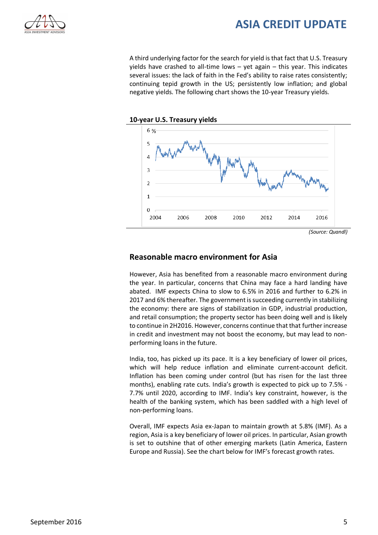

A third underlying factor for the search for yield is that fact that U.S. Treasury yields have crashed to all-time lows – yet again – this year. This indicates several issues: the lack of faith in the Fed's ability to raise rates consistently; continuing tepid growth in the US; persistently low inflation; and global negative yields. The following chart shows the 10-year Treasury yields.





#### **Reasonable macro environment for Asia**

However, Asia has benefited from a reasonable macro environment during the year. In particular, concerns that China may face a hard landing have abated. IMF expects China to slow to 6.5% in 2016 and further to 6.2% in 2017 and 6% thereafter. The government is succeeding currently in stabilizing the economy: there are signs of stabilization in GDP, industrial production, and retail consumption; the property sector has been doing well and is likely to continue in 2H2016. However, concerns continue that that further increase in credit and investment may not boost the economy, but may lead to nonperforming loans in the future.

India, too, has picked up its pace. It is a key beneficiary of lower oil prices, which will help reduce inflation and eliminate current-account deficit. Inflation has been coming under control (but has risen for the last three months), enabling rate cuts. India's growth is expected to pick up to 7.5% - 7.7% until 2020, according to IMF. India's key constraint, however, is the health of the banking system, which has been saddled with a high level of non-performing loans.

Overall, IMF expects Asia ex-Japan to maintain growth at 5.8% (IMF). As a region, Asia is a key beneficiary of lower oil prices. In particular, Asian growth is set to outshine that of other emerging markets (Latin America, Eastern Europe and Russia). See the chart below for IMF's forecast growth rates.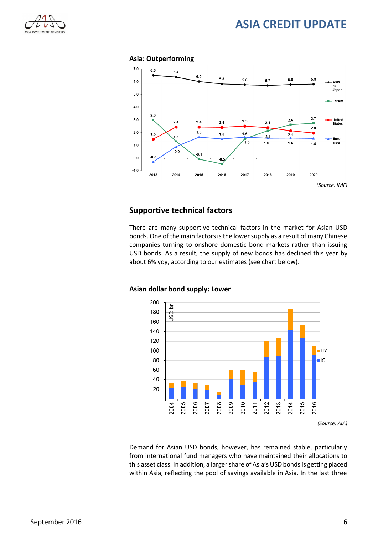

#### **Asia: Outperforming**



#### **Supportive technical factors**

There are many supportive technical factors in the market for Asian USD bonds. One of the main factors is the lower supply as a result of many Chinese companies turning to onshore domestic bond markets rather than issuing USD bonds. As a result, the supply of new bonds has declined this year by about 6% yoy, according to our estimates (see chart below).



**Asian dollar bond supply: Lower**

*(Source: AIA)*

Demand for Asian USD bonds, however, has remained stable, particularly from international fund managers who have maintained their allocations to this asset class. In addition, a larger share of Asia's USD bonds is getting placed within Asia, reflecting the pool of savings available in Asia. In the last three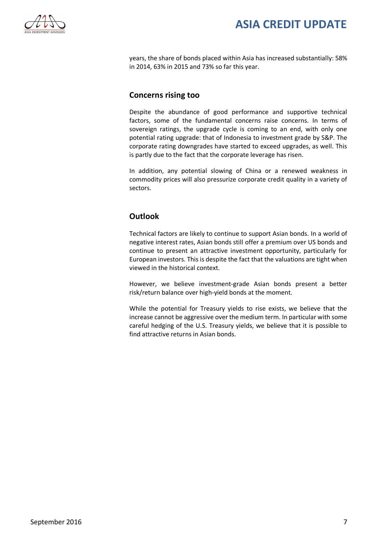

years, the share of bonds placed within Asia has increased substantially: 58% in 2014, 63% in 2015 and 73% so far this year.

#### **Concerns rising too**

Despite the abundance of good performance and supportive technical factors, some of the fundamental concerns raise concerns. In terms of sovereign ratings, the upgrade cycle is coming to an end, with only one potential rating upgrade: that of Indonesia to investment grade by S&P. The corporate rating downgrades have started to exceed upgrades, as well. This is partly due to the fact that the corporate leverage has risen.

In addition, any potential slowing of China or a renewed weakness in commodity prices will also pressurize corporate credit quality in a variety of sectors.

### **Outlook**

Technical factors are likely to continue to support Asian bonds. In a world of negative interest rates, Asian bonds still offer a premium over US bonds and continue to present an attractive investment opportunity, particularly for European investors. This is despite the fact that the valuations are tight when viewed in the historical context.

However, we believe investment-grade Asian bonds present a better risk/return balance over high-yield bonds at the moment.

While the potential for Treasury yields to rise exists, we believe that the increase cannot be aggressive over the medium term. In particular with some careful hedging of the U.S. Treasury yields, we believe that it is possible to find attractive returns in Asian bonds.